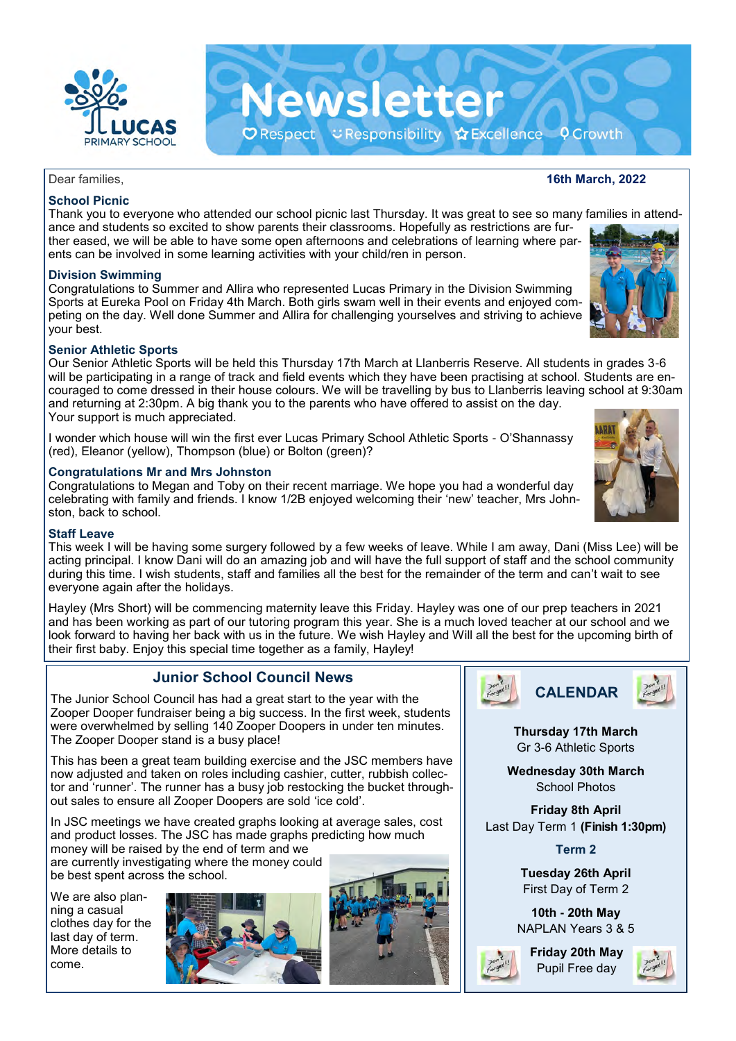

## Dear families, **16th March, 2022**

## **School Picnic**

Thank you to everyone who attended our school picnic last Thursday. It was great to see so many families in attendance and students so excited to show parents their classrooms. Hopefully as restrictions are further eased, we will be able to have some open afternoons and celebrations of learning where parents can be involved in some learning activities with your child/ren in person.

Newsletter

O Respect こResponsibility ☆Excellence ? Growth

**Division Swimming** 

Congratulations to Summer and Allira who represented Lucas Primary in the Division Swimming Sports at Eureka Pool on Friday 4th March. Both girls swam well in their events and enjoyed competing on the day. Well done Summer and Allira for challenging yourselves and striving to achieve your best.

### **Senior Athletic Sports**

Our Senior Athletic Sports will be held this Thursday 17th March at Llanberris Reserve. All students in grades 3-6 will be participating in a range of track and field events which they have been practising at school. Students are encouraged to come dressed in their house colours. We will be travelling by bus to Llanberris leaving school at 9:30am and returning at 2:30pm. A big thank you to the parents who have offered to assist on the day. Your support is much appreciated.

I wonder which house will win the first ever Lucas Primary School Athletic Sports - O'Shannassy (red), Eleanor (yellow), Thompson (blue) or Bolton (green)?

### **Congratulations Mr and Mrs Johnston**

Congratulations to Megan and Toby on their recent marriage. We hope you had a wonderful day celebrating with family and friends. I know 1/2B enjoyed welcoming their 'new' teacher, Mrs Johnston, back to school.

#### **Staff Leave**

This week I will be having some surgery followed by a few weeks of leave. While I am away, Dani (Miss Lee) will be acting principal. I know Dani will do an amazing job and will have the full support of staff and the school community during this time. I wish students, staff and families all the best for the remainder of the term and can't wait to see everyone again after the holidays.

Hayley (Mrs Short) will be commencing maternity leave this Friday. Hayley was one of our prep teachers in 2021 and has been working as part of our tutoring program this year. She is a much loved teacher at our school and we look forward to having her back with us in the future. We wish Hayley and Will all the best for the upcoming birth of their first baby. Enjoy this special time together as a family, Hayley!

## **Junior School Council News**

The Junior School Council has had a great start to the year with the Zooper Dooper fundraiser being a big success. In the first week, students were overwhelmed by selling 140 Zooper Doopers in under ten minutes. The Zooper Dooper stand is a busy place!

This has been a great team building exercise and the JSC members have now adjusted and taken on roles including cashier, cutter, rubbish collector and 'runner'. The runner has a busy job restocking the bucket throughout sales to ensure all Zooper Doopers are sold 'ice cold'.

In JSC meetings we have created graphs looking at average sales, cost and product losses. The JSC has made graphs predicting how much money will be raised by the end of term and we

are currently investigating where the money could be best spent across the school.

We are also planning a casual clothes day for the last day of term. More details to come.







**Thursday 17th March**  Gr 3-6 Athletic Sports

**Wednesday 30th March**  School Photos

**Friday 8th April**  Last Day Term 1 **(Finish 1:30pm)**

**Term 2**

**Tuesday 26th April**  First Day of Term 2

**10th - 20th May**  NAPLAN Years 3 & 5

**Friday 20th May**  Pupil Free day







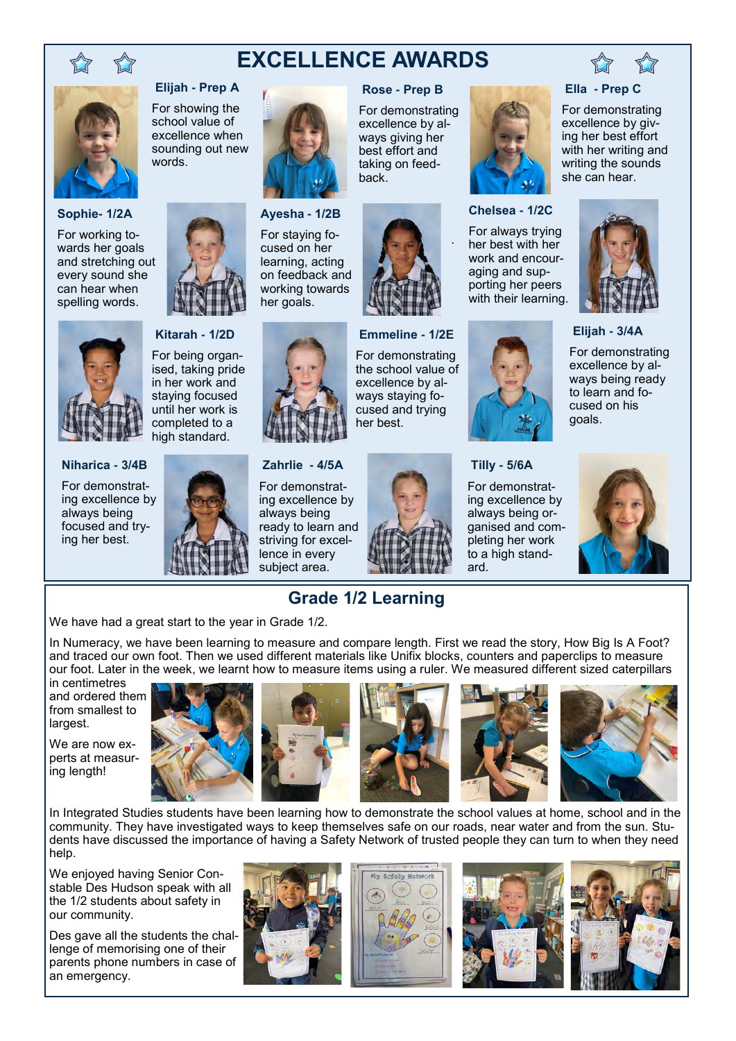

# **EXCELLENCE AWARDS**

back.

**Rose - Prep B** For demonstrating excellence by always giving her best effort and taking on feed-



#### **Ella - Prep C**

For demonstrating excellence by giving her best effort with her writing and writing the sounds she can hear.



**Elijah - 3/4A**

For demonstrating excellence by always being ready to learn and focused on his goals.



**Elijah - Prep A**

For showing the school value of excellence when sounding out new words.



For working towards her goals and stretching out every sound she can hear when spelling words.





**Niharica - 3/4B**

For demonstrating excellence by always being focused and trying her best.

**Kitarah - 1/2D** For being organ-

ised, taking pride in her work and staying focused until her work is completed to a high standard.



**Zahrlie - 4/5A**

**Ayesha - 1/2B** For staying focused on her learning, acting on feedback and working towards her goals.

For demonstrating excellence by always being ready to learn and striving for excellence in every subject area.



**Emmeline - 1/2E** For demonstrating the school value of excellence by always staying focused and trying

her best.



.

**Chelsea - 1/2C** For always trying her best with her work and encouraging and supporting her peers with their learning.

For demonstrating excellence by always being organised and completing her work to a high stand-



We have had a great start to the year in Grade 1/2.

In Numeracy, we have been learning to measure and compare length. First we read the story, How Big Is A Foot? and traced our own foot. Then we used different materials like Unifix blocks, counters and paperclips to measure our foot. Later in the week, we learnt how to measure items using a ruler. We measured different sized caterpillars

in centimetres and ordered them from smallest to largest.

We are now experts at measuring length!









In Integrated Studies students have been learning how to demonstrate the school values at home, school and in the community. They have investigated ways to keep themselves safe on our roads, near water and from the sun. Students have discussed the importance of having a Safety Network of trusted people they can turn to when they need help.

We enjoyed having Senior Constable Des Hudson speak with all the 1/2 students about safety in our community.

Des gave all the students the challenge of memorising one of their parents phone numbers in case of an emergency.